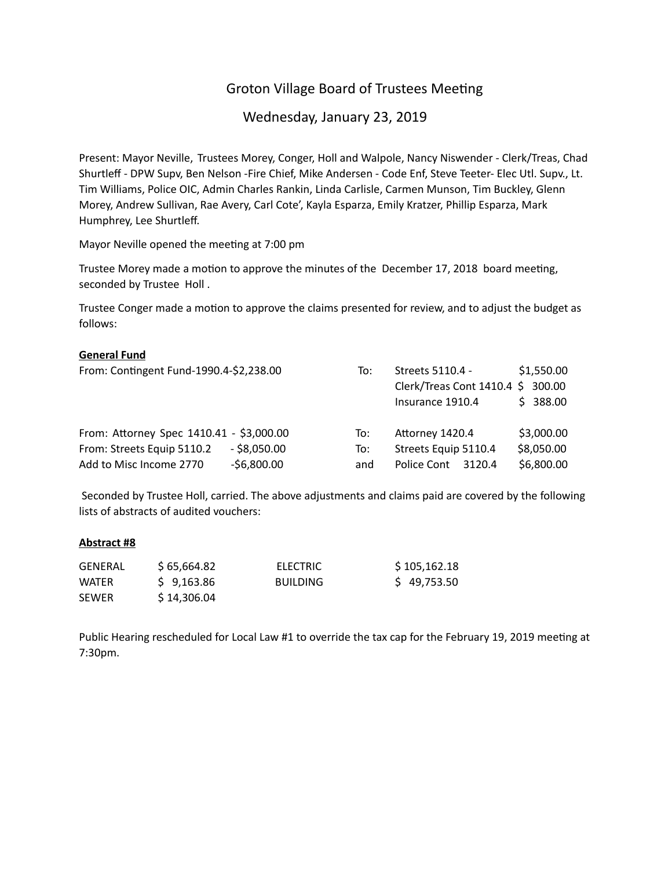# Groton Village Board of Trustees Meeting

Wednesday, January 23, 2019

Present: Mayor Neville, Trustees Morey, Conger, Holl and Walpole, Nancy Niswender - Clerk/Treas, Chad Shurtleff - DPW Supv, Ben Nelson -Fire Chief, Mike Andersen - Code Enf, Steve Teeter- Elec Utl. Supv., Lt. Tim Williams, Police OIC, Admin Charles Rankin, Linda Carlisle, Carmen Munson, Tim Buckley, Glenn Morey, Andrew Sullivan, Rae Avery, Carl Cote', Kayla Esparza, Emily Kratzer, Phillip Esparza, Mark Humphrey, Lee Shurtleff.

Mayor Neville opened the meeting at 7:00 pm

Trustee Morey made a motion to approve the minutes of the December 17, 2018 board meeting, seconded by Trustee Holl .

Trustee Conger made a motion to approve the claims presented for review, and to adjust the budget as follows:

## **General Fund**

| From: Contingent Fund-1990.4-\$2,238.00  |                | To: | Streets 5110.4 -<br>Clerk/Treas Cont 1410.4 \$ 300.00<br>Insurance 1910.4 | \$1,550.00<br>\$388.00 |
|------------------------------------------|----------------|-----|---------------------------------------------------------------------------|------------------------|
| From: Attorney Spec 1410.41 - \$3,000.00 |                | To: | Attorney 1420.4                                                           | \$3,000.00             |
| From: Streets Equip 5110.2               | $-$ \$8,050.00 | To: | Streets Equip 5110.4                                                      | \$8,050.00             |
| Add to Misc Income 2770                  | $-56,800.00$   | and | Police Cont<br>3120.4                                                     | \$6,800.00             |

 Seconded by Trustee Holl, carried. The above adjustments and claims paid are covered by the following lists of abstracts of audited vouchers:

#### **Abstract #8**

| <b>GENERAL</b> | \$ 65.664.82 | <b>ELECTRIC</b> | \$105,162.18 |
|----------------|--------------|-----------------|--------------|
| WATER          | \$9.163.86   | <b>BUILDING</b> | \$49,753.50  |
| <b>SEWER</b>   | \$14,306.04  |                 |              |

Public Hearing rescheduled for Local Law #1 to override the tax cap for the February 19, 2019 meeting at 7:30pm.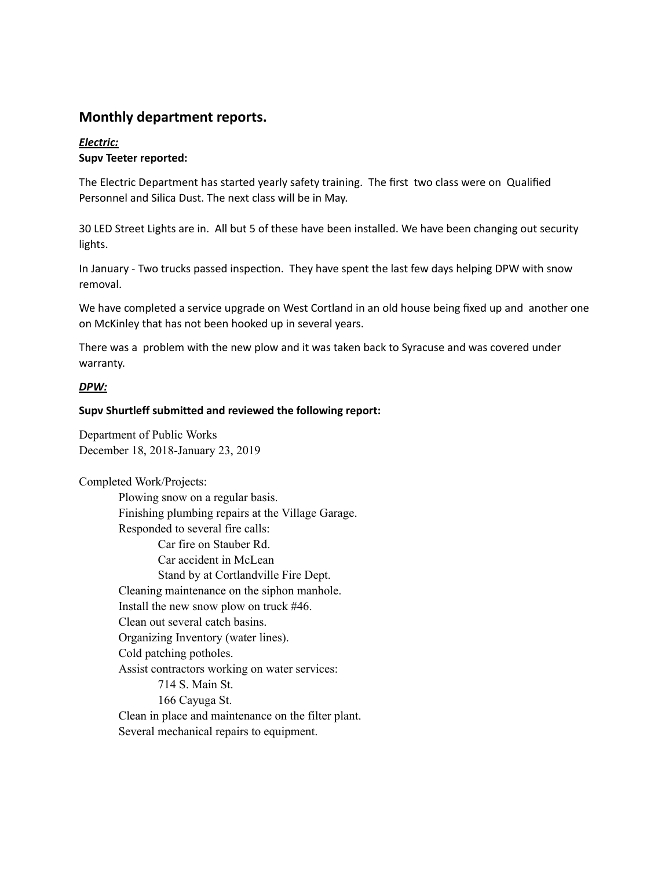# **Monthly department reports.**

# *Electric:* **Supv Teeter reported:**

The Electric Department has started yearly safety training. The first two class were on Qualified Personnel and Silica Dust. The next class will be in May.

30 LED Street Lights are in. All but 5 of these have been installed. We have been changing out security lights.

In January - Two trucks passed inspection. They have spent the last few days helping DPW with snow removal.

We have completed a service upgrade on West Cortland in an old house being fixed up and another one on McKinley that has not been hooked up in several years.

There was a problem with the new plow and it was taken back to Syracuse and was covered under warranty.

# *DPW:*

# **Supv Shurtleff submitted and reviewed the following report:**

Department of Public Works December 18, 2018-January 23, 2019

Completed Work/Projects:

Plowing snow on a regular basis. Finishing plumbing repairs at the Village Garage. Responded to several fire calls: Car fire on Stauber Rd. Car accident in McLean Stand by at Cortlandville Fire Dept. Cleaning maintenance on the siphon manhole. Install the new snow plow on truck #46. Clean out several catch basins. Organizing Inventory (water lines). Cold patching potholes. Assist contractors working on water services: 714 S. Main St. 166 Cayuga St. Clean in place and maintenance on the filter plant. Several mechanical repairs to equipment.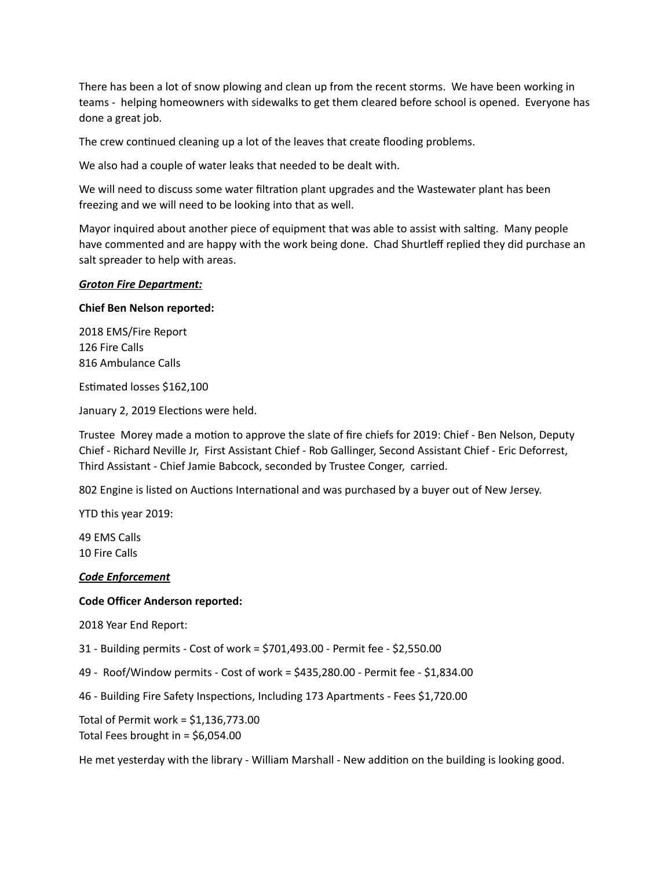There has been a lot of snow plowing and clean up from the recent storms. We have been working in teams - helping homeowners with sidewalks to get them cleared before school is opened. Everyone has done a great job.

The crew continued cleaning up a lot of the leaves that create flooding problems.

We also had a couple of water leaks that needed to be dealt with.

We will need to discuss some water filtration plant upgrades and the Wastewater plant has been freezing and we will need to be looking into that as well.

Mayor inquired about another piece of equipment that was able to assist with salting. Many people have commented and are happy with the work being done. Chad Shurtleff replied they did purchase an salt spreader to help with areas.

#### *Groton Fire Department:*

## **Chief Ben Nelson reported:**

2018 EMS/Fire Report 126 Fire Calls 816 Ambulance Calls

Estimated losses \$162,100

January 2, 2019 Elections were held.

Trustee Morey made a motion to approve the slate of fire chiefs for 2019: Chief - Ben Nelson, Deputy Chief - Richard Neville Jr, First Assistant Chief - Rob Gallinger, Second Assistant Chief - Eric Deforrest, Third Assistant - Chief Jamie Babcock, seconded by Trustee Conger, carried.

802 Engine is listed on Auctions International and was purchased by a buyer out of New Jersey.

YTD this year 2019:

49 EMS Calls 10 Fire Calls

#### *Code Enforcement*

# **Code Officer Anderson reported:**

2018 Year End Report:

31 - Building permits - Cost of work = \$701,493.00 - Permit fee - \$2,550.00

49 - Roof/Window permits - Cost of work = \$435,280.00 - Permit fee - \$1,834.00

46 - Building Fire Safety Inspections, Including 173 Apartments - Fees \$1,720.00

Total of Permit work = \$1,136,773.00 Total Fees brought in = \$6,054.00

He met yesterday with the library - William Marshall - New addition on the building is looking good.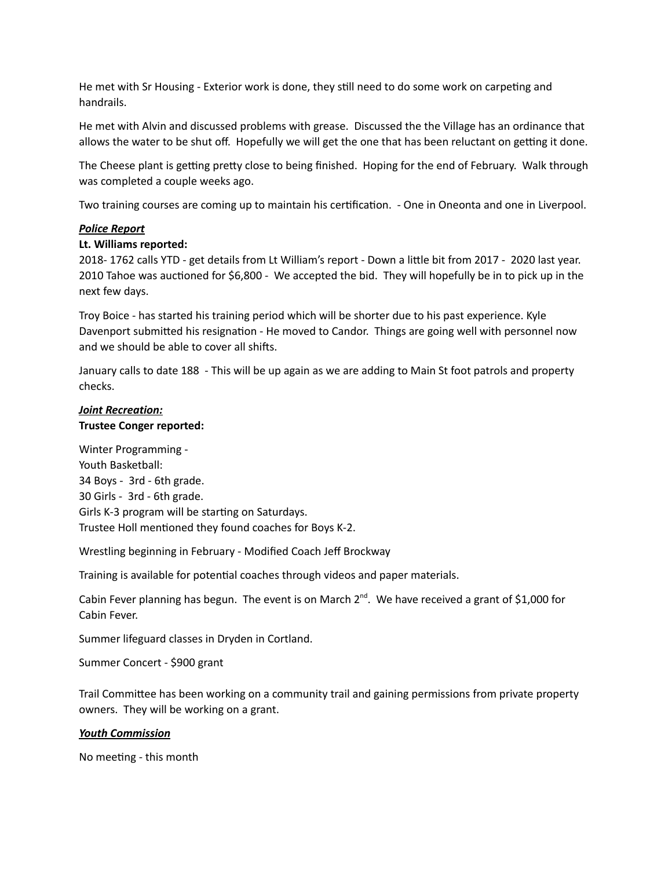He met with Sr Housing - Exterior work is done, they still need to do some work on carpeting and handrails.

He met with Alvin and discussed problems with grease. Discussed the the Village has an ordinance that allows the water to be shut off. Hopefully we will get the one that has been reluctant on getting it done.

The Cheese plant is getting pretty close to being finished. Hoping for the end of February. Walk through was completed a couple weeks ago.

Two training courses are coming up to maintain his certification. - One in Oneonta and one in Liverpool.

## *Police Report*

## **Lt. Williams reported:**

2018- 1762 calls YTD - get details from Lt William's report - Down a little bit from 2017 - 2020 last year. 2010 Tahoe was auctioned for \$6,800 - We accepted the bid. They will hopefully be in to pick up in the next few days.

Troy Boice - has started his training period which will be shorter due to his past experience. Kyle Davenport submitted his resignation - He moved to Candor. Things are going well with personnel now and we should be able to cover all shifts.

January calls to date 188 - This will be up again as we are adding to Main St foot patrols and property checks.

## *Joint Recreation:* **Trustee Conger reported:**

Winter Programming - Youth Basketball: 34 Boys - 3rd - 6th grade. 30 Girls - 3rd - 6th grade. Girls K-3 program will be starting on Saturdays. Trustee Holl mentioned they found coaches for Boys K-2.

Wrestling beginning in February - Modified Coach Jeff Brockway

Training is available for potential coaches through videos and paper materials.

Cabin Fever planning has begun. The event is on March  $2^{nd}$ . We have received a grant of \$1,000 for Cabin Fever.

Summer lifeguard classes in Dryden in Cortland.

Summer Concert - \$900 grant

Trail Committee has been working on a community trail and gaining permissions from private property owners. They will be working on a grant.

#### *Youth Commission*

No meeting - this month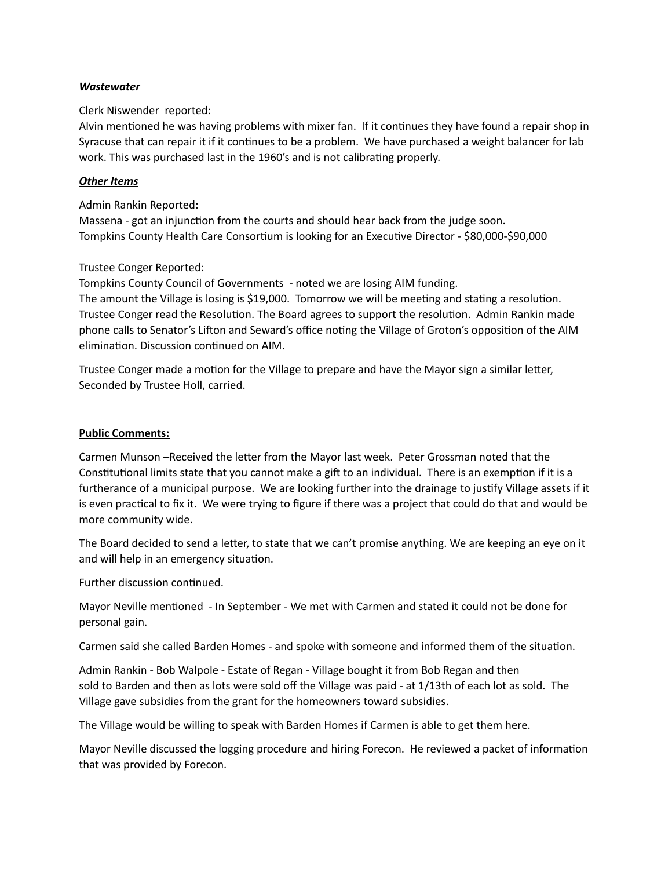## *Wastewater*

# Clerk Niswender reported:

Alvin mentioned he was having problems with mixer fan. If it continues they have found a repair shop in Syracuse that can repair it if it continues to be a problem. We have purchased a weight balancer for lab work. This was purchased last in the 1960's and is not calibrating properly.

## *Other Items*

Admin Rankin Reported:

Massena - got an injunction from the courts and should hear back from the judge soon. Tompkins County Health Care Consortium is looking for an Executive Director - \$80,000-\$90,000

# Trustee Conger Reported:

Tompkins County Council of Governments - noted we are losing AIM funding. The amount the Village is losing is \$19,000. Tomorrow we will be meeting and stating a resolution. Trustee Conger read the Resolution. The Board agrees to support the resolution. Admin Rankin made phone calls to Senator's Lifton and Seward's office noting the Village of Groton's opposition of the AIM elimination. Discussion continued on AIM.

Trustee Conger made a motion for the Village to prepare and have the Mayor sign a similar letter, Seconded by Trustee Holl, carried.

## **Public Comments:**

Carmen Munson –Received the letter from the Mayor last week. Peter Grossman noted that the Constitutional limits state that you cannot make a gift to an individual. There is an exemption if it is a furtherance of a municipal purpose. We are looking further into the drainage to justify Village assets if it is even practical to fix it. We were trying to figure if there was a project that could do that and would be more community wide.

The Board decided to send a letter, to state that we can't promise anything. We are keeping an eye on it and will help in an emergency situation.

Further discussion continued.

Mayor Neville mentioned - In September - We met with Carmen and stated it could not be done for personal gain.

Carmen said she called Barden Homes - and spoke with someone and informed them of the situation.

Admin Rankin - Bob Walpole - Estate of Regan - Village bought it from Bob Regan and then sold to Barden and then as lots were sold off the Village was paid - at 1/13th of each lot as sold. The Village gave subsidies from the grant for the homeowners toward subsidies.

The Village would be willing to speak with Barden Homes if Carmen is able to get them here.

Mayor Neville discussed the logging procedure and hiring Forecon. He reviewed a packet of information that was provided by Forecon.